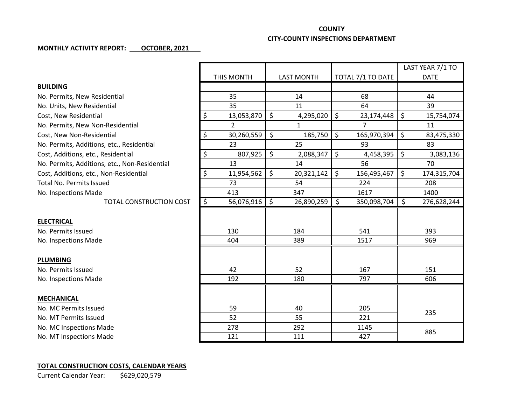## **COUNTY**

## **CITY-COUNTY INSPECTIONS DEPARTMENT**

## **MONTHLY ACTIVITY REPORT: OCTOBER, 2021**

|                                               |                                        |                   |                             | LAST YEAR 7/1 TO  |
|-----------------------------------------------|----------------------------------------|-------------------|-----------------------------|-------------------|
|                                               | THIS MONTH                             | <b>LAST MONTH</b> | TOTAL 7/1 TO DATE           | <b>DATE</b>       |
| <b>BUILDING</b>                               |                                        |                   |                             |                   |
| No. Permits, New Residential                  | 35                                     | 14                | 68                          | 44                |
| No. Units, New Residential                    | 35                                     | 11                | 64                          | 39                |
| Cost, New Residential                         | \$<br>13,053,870                       | \$<br>4,295,020   | \$<br>23,174,448            | \$<br>15,754,074  |
| No. Permits, New Non-Residential              | $\overline{2}$                         | $\mathbf{1}$      | $\overline{7}$              | 11                |
| Cost, New Non-Residential                     | \$<br>30,260,559                       | \$<br>185,750     | $\zeta$<br>165,970,394      | \$<br>83,475,330  |
| No. Permits, Additions, etc., Residential     | 23                                     | 25                | 93                          | 83                |
| Cost, Additions, etc., Residential            | \$<br>807,925                          | \$<br>2,088,347   | \$<br>4,458,395             | \$<br>3,083,136   |
| No. Permits, Additions, etc., Non-Residential | 13                                     | 14                | 56                          | 70                |
| Cost, Additions, etc., Non-Residential        | \$<br>11,954,562                       | \$<br>20,321,142  | $\mathsf{S}$<br>156,495,467 | \$<br>174,315,704 |
| <b>Total No. Permits Issued</b>               | 73                                     | 54                | 224                         | 208               |
| No. Inspections Made                          | 413                                    | 347               | 1617                        | 1400              |
| <b>TOTAL CONSTRUCTION COST</b>                | $\overline{\mathcal{S}}$<br>56,076,916 | \$<br>26,890,259  | \$<br>350,098,704           | \$<br>276,628,244 |
|                                               |                                        |                   |                             |                   |
| <b>ELECTRICAL</b>                             |                                        |                   |                             |                   |
| No. Permits Issued                            | 130                                    | 184               | 541                         | 393               |
| No. Inspections Made                          | 404                                    | 389               | 1517                        | 969               |
|                                               |                                        |                   |                             |                   |
| <b>PLUMBING</b>                               |                                        |                   |                             |                   |
| No. Permits Issued                            | 42                                     | 52                | 167                         | 151               |
| No. Inspections Made                          | 192                                    | 180               | 797                         | 606               |
|                                               |                                        |                   |                             |                   |
| <b>MECHANICAL</b>                             |                                        |                   |                             |                   |
| No. MC Permits Issued                         | 59                                     | 40                | 205                         | 235               |
| No. MT Permits Issued                         | 52                                     | 55                | 221                         |                   |
| No. MC Inspections Made                       | 278                                    | 292               | 1145                        | 885               |
| No. MT Inspections Made                       | 121                                    | 111               | 427                         |                   |

## **TOTAL CONSTRUCTION COSTS, CALENDAR YEARS**

Current Calendar Year: \$629,020,579